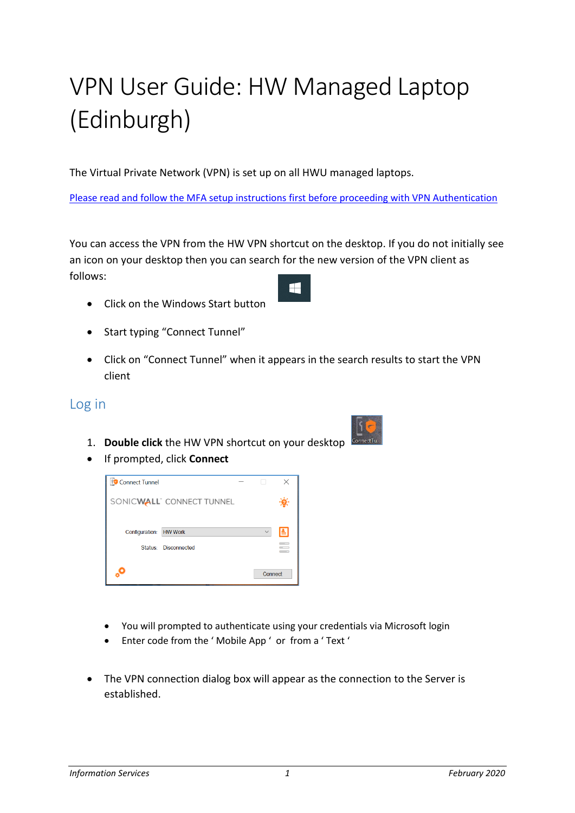## VPN User Guide: HW Managed Laptop (Edinburgh)

The Virtual Private Network (VPN) is set up on all HWU managed laptops.

Please read and follow the MFA setup instructions first before proceeding with VPN Authentication

You can access the VPN from the HW VPN shortcut on the desktop. If you do not initially see an icon on your desktop then you can search for the new version of the VPN client as follows: H

- Click on the Windows Start button
- Start typing "Connect Tunnel"
- Click on "Connect Tunnel" when it appears in the search results to start the VPN client

## Log in

- 1. **Double click** the HW VPN shortcut on your desktop
- If prompted, click **Connect**



- You will prompted to authenticate using your credentials via Microsoft login
- Enter code from the ' Mobile App ' or from a ' Text '
- The VPN connection dialog box will appear as the connection to the Server is established.



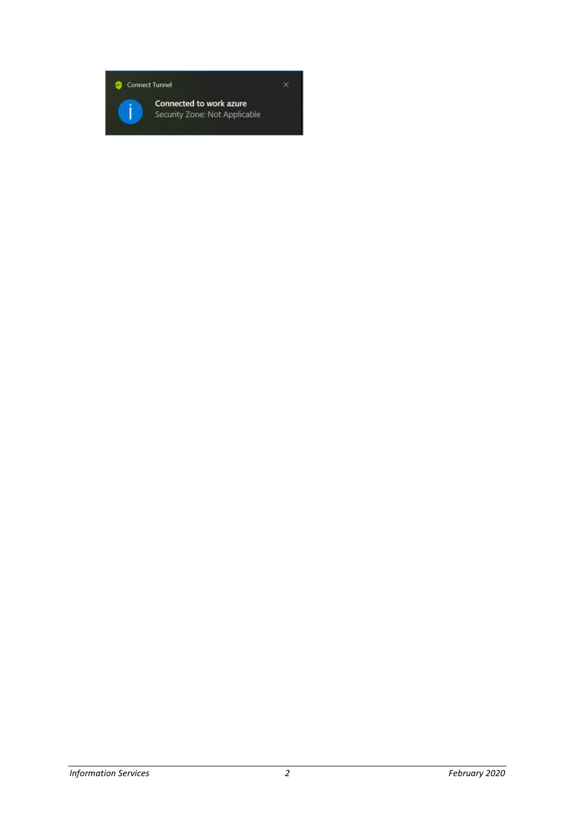